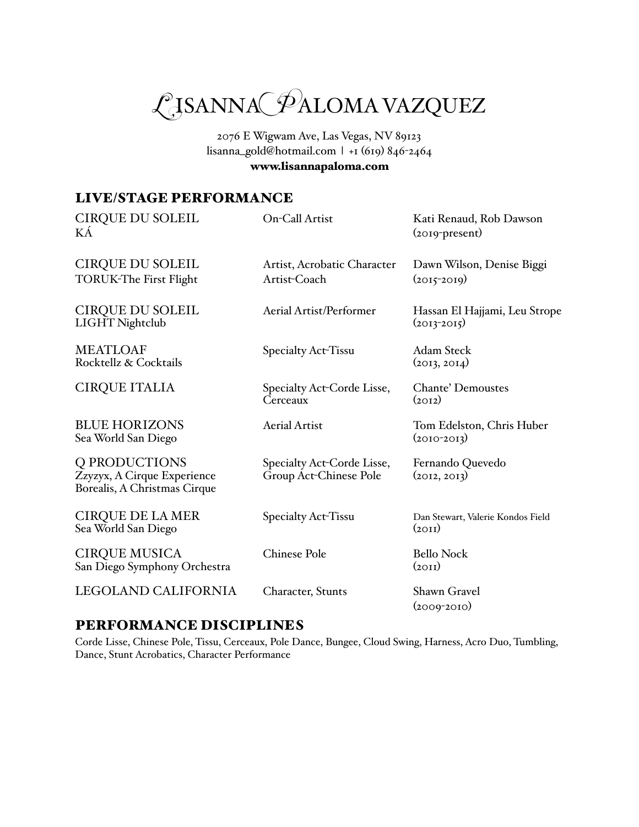

2076 E Wigwam Ave, Las Vegas, NV 89123 [lisanna\\_gold@hotmail.com](mailto:lisanna_gold@hotmail.com) | +1 (619) 846-2464 [www.lisannapaloma.com](http://www.lisannapaloma.com)

# LIVE/STAGE PERFORMANCE

| <b>CIRQUE DU SOLEIL</b><br>ΚÁ                                                | On-Call Artist                                       | Kati Renaud, Rob Dawson<br>$(2019$ -present)     |
|------------------------------------------------------------------------------|------------------------------------------------------|--------------------------------------------------|
| <b>CIRQUE DU SOLEIL</b><br><b>TORUK-The First Flight</b>                     | Artist, Acrobatic Character<br>Artist-Coach          | Dawn Wilson, Denise Biggi<br>$(2015 - 2019)$     |
| <b>CIRQUE DU SOLEIL</b><br>LIGHT Nightclub                                   | Aerial Artist/Performer                              | Hassan El Hajjami, Leu Strope<br>$(2013 - 2015)$ |
| <b>MEATLOAF</b><br>Rocktellz & Cocktails                                     | Specialty Act-Tissu                                  | <b>Adam Steck</b><br>(2013, 2014)                |
| <b>CIRQUE ITALIA</b>                                                         | Specialty Act-Corde Lisse,<br>Cerceaux               | <b>Chante' Demoustes</b><br>(2012)               |
| <b>BLUE HORIZONS</b><br>Sea World San Diego                                  | <b>Aerial Artist</b>                                 | Tom Edelston, Chris Huber<br>$(2010-2013)$       |
| Q PRODUCTIONS<br>Zzyzyx, A Cirque Experience<br>Borealis, A Christmas Cirque | Specialty Act-Corde Lisse,<br>Group Act-Chinese Pole | Fernando Quevedo<br>(2012, 2013)                 |
| <b>CIRQUE DE LA MER</b><br>Sea World San Diego                               | Specialty Act-Tissu                                  | Dan Stewart, Valerie Kondos Field<br>(2OII)      |
| <b>CIRQUE MUSICA</b><br>San Diego Symphony Orchestra                         | <b>Chinese Pole</b>                                  | <b>Bello Nock</b><br>(20II)                      |
| LEGOLAND CALIFORNIA                                                          | Character, Stunts                                    | Shawn Gravel<br>$(2009 - 2010)$                  |

## PERFORMANCE DISCIPLINES

Corde Lisse, Chinese Pole, Tissu, Cerceaux, Pole Dance, Bungee, Cloud Swing, Harness, Acro Duo, Tumbling, Dance, Stunt Acrobatics, Character Performance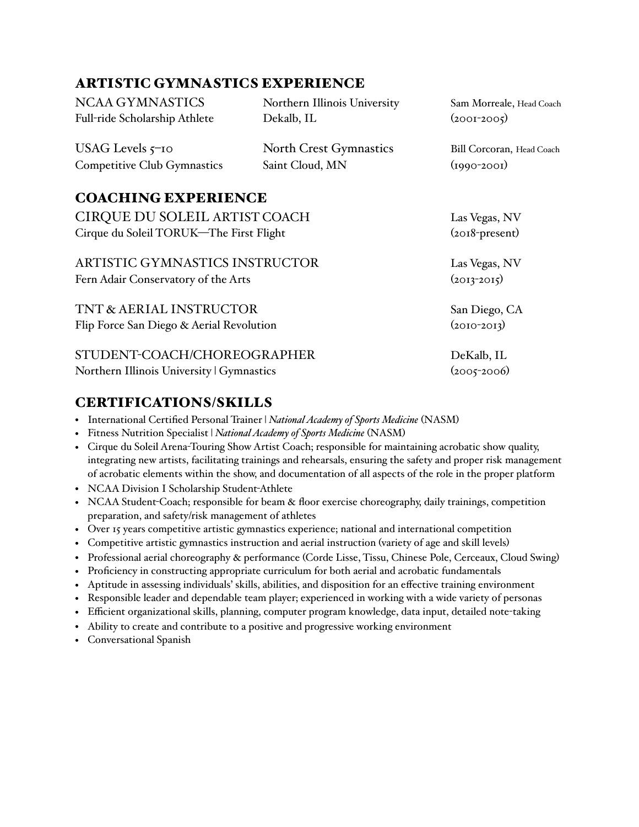## ARTISTIC GYMNASTICS EXPERIENCE

NCAA GYMNASTICS Northern Illinois University Sam Morreale, Head Coach Full-ride Scholarship Athlete Dekalb, IL (2001-2005) USAG Levels 5–10 North Crest Gymnastics Bill Corcoran, Head Coach Competitive Club Gymnastics Saint Cloud, MN (1990-2001) COACHING EXPERIENCE CIRQUE DU SOLEIL ARTIST COACH Las Vegas, NV Cirque du Soleil TORUK—The First Flight (2018-present) ARTISTIC GYMNASTICS INSTRUCTOR Las Vegas, NV Fern Adair Conservatory of the Arts (2013-2015) TNT & AERIAL INSTRUCTOR San Diego, CA Flip Force San Diego & Aerial Revolution (2010-2013) STUDENT-COACH/CHOREOGRAPHER DeKalb, IL Northern Illinois University | Gymnastics (2005-2006)

## CERTIFICATIONS/SKILLS

- International Certified Personal Trainer | *National Academy of Sports Medicine* (NASM)
- Fitness Nutrition Specialist | *National Academy of Sports Medicine* (NASM)
- Cirque du Soleil Arena-Touring Show Artist Coach; responsible for maintaining acrobatic show quality, integrating new artists, facilitating trainings and rehearsals, ensuring the safety and proper risk management of acrobatic elements within the show, and documentation of all aspects of the role in the proper platform
- NCAA Division I Scholarship Student-Athlete
- NCAA Student-Coach; responsible for beam & floor exercise choreography, daily trainings, competition preparation, and safety/risk management of athletes
- Over 15 years competitive artistic gymnastics experience; national and international competition
- Competitive artistic gymnastics instruction and aerial instruction (variety of age and skill levels)
- Professional aerial choreography & performance (Corde Lisse, Tissu, Chinese Pole, Cerceaux, Cloud Swing)
- Proficiency in constructing appropriate curriculum for both aerial and acrobatic fundamentals
- Aptitude in assessing individuals' skills, abilities, and disposition for an effective training environment
- Responsible leader and dependable team player; experienced in working with a wide variety of personas
- Efficient organizational skills, planning, computer program knowledge, data input, detailed note-taking
- Ability to create and contribute to a positive and progressive working environment
- Conversational Spanish